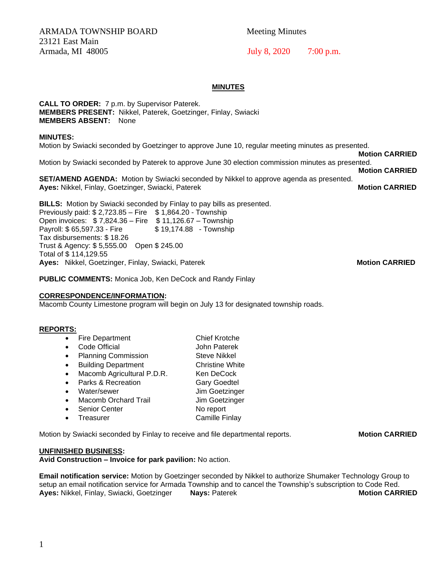ARMADA TOWNSHIP BOARD Meeting Minutes 23121 East Main Armada, MI 48005 July 8, 2020 7:00 p.m.

### **MINUTES**

**CALL TO ORDER:** 7 p.m. by Supervisor Paterek. **MEMBERS PRESENT:** Nikkel, Paterek, Goetzinger, Finlay, Swiacki **MEMBERS ABSENT:** None

#### **MINUTES:**

Motion by Swiacki seconded by Goetzinger to approve June 10, regular meeting minutes as presented.

 **Motion CARRIED** Motion by Swiacki seconded by Paterek to approve June 30 election commission minutes as presented.

**Motion CARRIED**

**SET/AMEND AGENDA:** Motion by Swiacki seconded by Nikkel to approve agenda as presented. **Ayes:** Nikkel, Finlay, Goetzinger, Swiacki, Paterek **Motion CARRIED Motion CARRIED** 

**BILLS:** Motion by Swiacki seconded by Finlay to pay bills as presented. Previously paid: \$ 2,723.85 – Fire \$ 1,864.20 - Township Open invoices: \$ 7,824.36 – Fire \$ 11,126.67 – Township Payroll: \$65,597.33 - Fire \$19,174.88 - Township Tax disbursements: \$ 18.26 Trust & Agency: \$ 5,555.00 Open \$ 245.00 Total of \$ 114,129.55 **Ayes: Nikkel, Goetzinger, Finlay, Swiacki, Paterek Motion CARRIED Motion CARRIED** 

**PUBLIC COMMENTS:** Monica Job, Ken DeCock and Randy Finlay

#### **CORRESPONDENCE/INFORMATION:**

Macomb County Limestone program will begin on July 13 for designated township roads.

# **REPORTS:**

- Fire Department Chief Krotche
- Code Official **John Paterek**
- Planning Commission Steve Nikkel
- Building Department Christine White
- Macomb Agricultural P.D.R. Ken DeCock
- Parks & Recreation Gary Goedtel
- Water/sewer Jim Goetzinger
- Macomb Orchard Trail Jim Goetzinger
- Senior Center No report
- **Freasurer Camille Finlay**

Motion by Swiacki seconded by Finlay to receive and file departmental reports. **Motion CARRIED** 

#### **UNFINISHED BUSINESS:**

**Avid Construction – Invoice for park pavilion:** No action.

**Email notification service:** Motion by Goetzinger seconded by Nikkel to authorize Shumaker Technology Group to setup an email notification service for Armada Township and to cancel the Township's subscription to Code Red. **Ayes:** Nikkel, Finlay, Swiacki, Goetzinger **Nays:** Paterek **Motion CARRIED**

1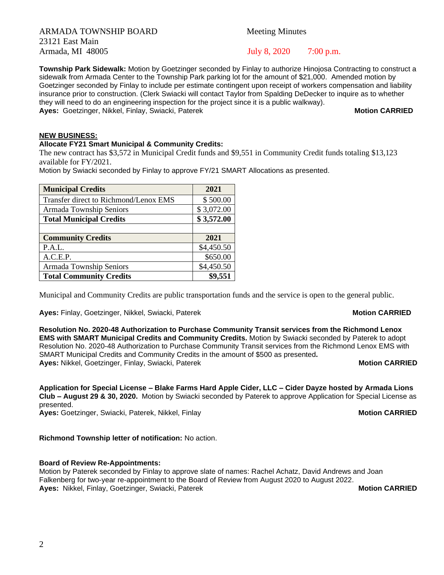ARMADA TOWNSHIP BOARD Meeting Minutes 23121 East Main Armada, MI 48005 July 8, 2020 7:00 p.m.

**Township Park Sidewalk:** Motion by Goetzinger seconded by Finlay to authorize Hinojosa Contracting to construct a sidewalk from Armada Center to the Township Park parking lot for the amount of \$21,000. Amended motion by Goetzinger seconded by Finlay to include per estimate contingent upon receipt of workers compensation and liability insurance prior to construction. (Clerk Swiacki will contact Taylor from Spalding DeDecker to inquire as to whether they will need to do an engineering inspection for the project since it is a public walkway). **Ayes:** Goetzinger, Nikkel, Finlay, Swiacki, Paterek **Motion CARRIED Motion CARRIED** 

# **NEW BUSINESS:**

### **Allocate FY21 Smart Municipal & Community Credits:**

The new contract has \$3,572 in Municipal Credit funds and \$9,551 in Community Credit funds totaling \$13,123 available for FY/2021.

Motion by Swiacki seconded by Finlay to approve FY/21 SMART Allocations as presented.

| <b>Municipal Credits</b>              | 2021       |
|---------------------------------------|------------|
| Transfer direct to Richmond/Lenox EMS | \$500.00   |
| Armada Township Seniors               | \$3,072.00 |
| <b>Total Municipal Credits</b>        | \$3,572.00 |
|                                       |            |
| <b>Community Credits</b>              | 2021       |
| P.A.L.                                | \$4,450.50 |
| A.C.E.P.                              | \$650.00   |
| Armada Township Seniors               | \$4,450.50 |
| <b>Total Community Credits</b>        | \$9,551    |

Municipal and Community Credits are public transportation funds and the service is open to the general public.

**Ayes:** Finlay, Goetzinger, Nikkel, Swiacki, Paterek **Motion CARRIED Motion CARRIED** 

### **Resolution No. 2020-48 Authorization to Purchase Community Transit services from the Richmond Lenox EMS with SMART Municipal Credits and Community Credits.** Motion by Swiacki seconded by Paterek to adopt Resolution No. 2020-48 Authorization to Purchase Community Transit services from the Richmond Lenox EMS with SMART Municipal Credits and Community Credits in the amount of \$500 as presented**. Ayes: Nikkel, Goetzinger, Finlay, Swiacki, Paterek Motion CARRIED Motion CARRIED**

**Application for Special License – Blake Farms Hard Apple Cider, LLC – Cider Dayze hosted by Armada Lions Club – August 29 & 30, 2020.** Motion by Swiacki seconded by Paterek to approve Application for Special License as presented.

# **Richmond Township letter of notification:** No action.

# **Board of Review Re-Appointments:**

Motion by Paterek seconded by Finlay to approve slate of names: Rachel Achatz, David Andrews and Joan Falkenberg for two-year re-appointment to the Board of Review from August 2020 to August 2022. **Ayes:** Nikkel, Finlay, Goetzinger, Swiacki, Paterek Motion CARRIED

**Ayes:** Goetzinger, Swiacki, Paterek, Nikkel, Finlay **Motion CARRIED**